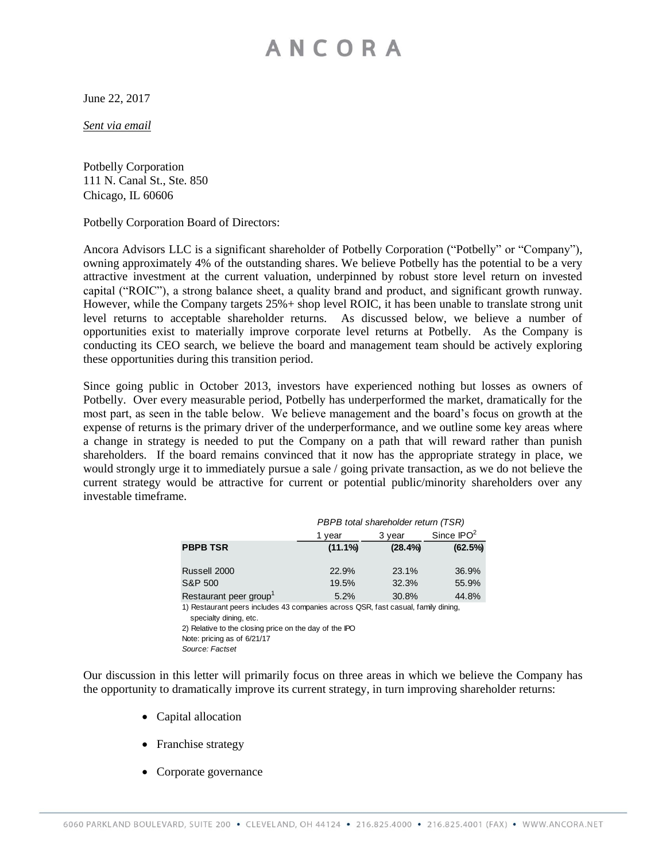June 22, 2017

*Sent via email*

Potbelly Corporation 111 N. Canal St., Ste. 850 Chicago, IL 60606

Potbelly Corporation Board of Directors:

Ancora Advisors LLC is a significant shareholder of Potbelly Corporation ("Potbelly" or "Company"), owning approximately 4% of the outstanding shares. We believe Potbelly has the potential to be a very attractive investment at the current valuation, underpinned by robust store level return on invested capital ("ROIC"), a strong balance sheet, a quality brand and product, and significant growth runway. However, while the Company targets 25%+ shop level ROIC, it has been unable to translate strong unit level returns to acceptable shareholder returns. As discussed below, we believe a number of opportunities exist to materially improve corporate level returns at Potbelly. As the Company is conducting its CEO search, we believe the board and management team should be actively exploring these opportunities during this transition period.

Since going public in October 2013, investors have experienced nothing but losses as owners of Potbelly. Over every measurable period, Potbelly has underperformed the market, dramatically for the most part, as seen in the table below. We believe management and the board's focus on growth at the expense of returns is the primary driver of the underperformance, and we outline some key areas where a change in strategy is needed to put the Company on a path that will reward rather than punish shareholders. If the board remains convinced that it now has the appropriate strategy in place, we would strongly urge it to immediately pursue a sale / going private transaction, as we do not believe the current strategy would be attractive for current or potential public/minority shareholders over any investable timeframe.

|                                                                                                             | PBPB total shareholder return (TSR) |         |              |  |  |  |  |  |
|-------------------------------------------------------------------------------------------------------------|-------------------------------------|---------|--------------|--|--|--|--|--|
|                                                                                                             | 1 year                              | 3 year  | Since $IPO2$ |  |  |  |  |  |
| <b>PBPB TSR</b>                                                                                             | $(11.1\%)$                          | (28.4%) | (62.5%)      |  |  |  |  |  |
|                                                                                                             |                                     |         |              |  |  |  |  |  |
| Russell 2000                                                                                                | 22.9%                               | 23.1%   | 36.9%        |  |  |  |  |  |
| S&P 500                                                                                                     | 19.5%                               | 32.3%   | 55.9%        |  |  |  |  |  |
| Restaurant peer group <sup>1</sup>                                                                          | 5.2%                                | 30.8%   | 44.8%        |  |  |  |  |  |
| 1) Restaurant peers includes 43 companies across QSR, fast casual, family dining,<br>specialty dining, etc. |                                     |         |              |  |  |  |  |  |
| 2) Relative to the closing price on the day of the IPO                                                      |                                     |         |              |  |  |  |  |  |
| Note: pricing as of 6/21/17                                                                                 |                                     |         |              |  |  |  |  |  |
| Source: Factset                                                                                             |                                     |         |              |  |  |  |  |  |

Our discussion in this letter will primarily focus on three areas in which we believe the Company has the opportunity to dramatically improve its current strategy, in turn improving shareholder returns:

- Capital allocation
- Franchise strategy
- Corporate governance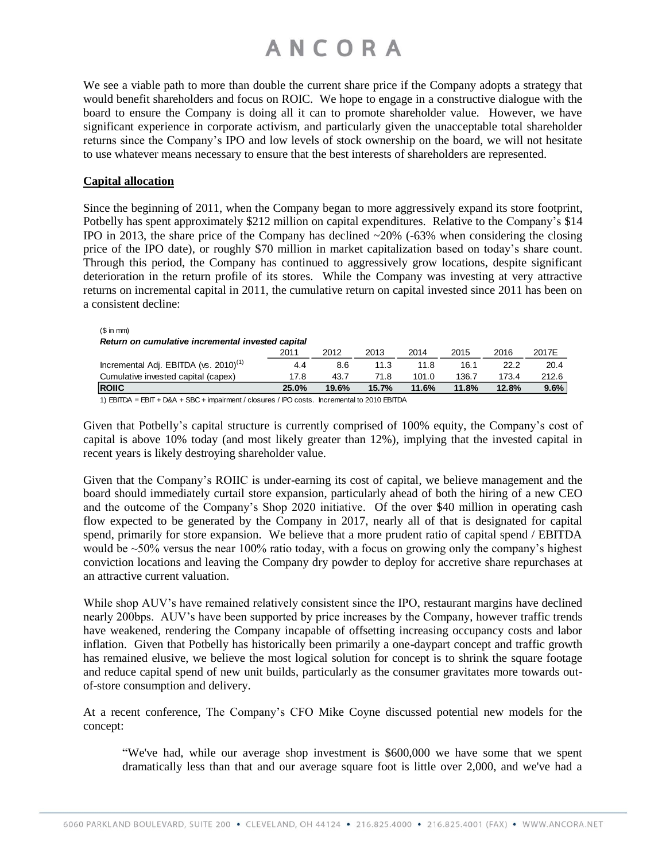We see a viable path to more than double the current share price if the Company adopts a strategy that would benefit shareholders and focus on ROIC. We hope to engage in a constructive dialogue with the board to ensure the Company is doing all it can to promote shareholder value. However, we have significant experience in corporate activism, and particularly given the unacceptable total shareholder returns since the Company's IPO and low levels of stock ownership on the board, we will not hesitate to use whatever means necessary to ensure that the best interests of shareholders are represented.

#### **Capital allocation**

 $(0 \text{ in } \text{mm})$ 

Since the beginning of 2011, when the Company began to more aggressively expand its store footprint, Potbelly has spent approximately \$212 million on capital expenditures. Relative to the Company's \$14 IPO in 2013, the share price of the Company has declined  $\sim$ 20% (-63% when considering the closing price of the IPO date), or roughly \$70 million in market capitalization based on today's share count. Through this period, the Company has continued to aggressively grow locations, despite significant deterioration in the return profile of its stores. While the Company was investing at very attractive returns on incremental capital in 2011, the cumulative return on capital invested since 2011 has been on a consistent decline:

| <b>ROIIC</b>                                      | 25.0% | 19.6% | 15.7% | 11.6% | 11.8% | 12.8% | 9.6%  |  |  |  |
|---------------------------------------------------|-------|-------|-------|-------|-------|-------|-------|--|--|--|
| Cumulative invested capital (capex)               | 17.8  | 43.7  | 71.8  | 101.0 | 136.7 | 173.4 | 212.6 |  |  |  |
| Incremental Adj. EBITDA (vs. 2010) <sup>(1)</sup> | 4.4   | 8.6   | 11.3  | 11.8  | 16.1  | 22.2  | 20.4  |  |  |  |
|                                                   | 2011  | 2012  | 2013  | 2014  | 2015  | 2016  | 2017E |  |  |  |
| Return on cumulative incremental invested capital |       |       |       |       |       |       |       |  |  |  |
|                                                   |       |       |       |       |       |       |       |  |  |  |

1) EBITDA = EBIT + D&A + SBC + impairment / closures / IPO costs. Incremental to 2010 EBITDA

Given that Potbelly's capital structure is currently comprised of 100% equity, the Company's cost of capital is above 10% today (and most likely greater than 12%), implying that the invested capital in recent years is likely destroying shareholder value.

Given that the Company's ROIIC is under-earning its cost of capital, we believe management and the board should immediately curtail store expansion, particularly ahead of both the hiring of a new CEO and the outcome of the Company's Shop 2020 initiative. Of the over \$40 million in operating cash flow expected to be generated by the Company in 2017, nearly all of that is designated for capital spend, primarily for store expansion. We believe that a more prudent ratio of capital spend / EBITDA would be  $\sim$  50% versus the near 100% ratio today, with a focus on growing only the company's highest conviction locations and leaving the Company dry powder to deploy for accretive share repurchases at an attractive current valuation.

While shop AUV's have remained relatively consistent since the IPO, restaurant margins have declined nearly 200bps. AUV's have been supported by price increases by the Company, however traffic trends have weakened, rendering the Company incapable of offsetting increasing occupancy costs and labor inflation. Given that Potbelly has historically been primarily a one-daypart concept and traffic growth has remained elusive, we believe the most logical solution for concept is to shrink the square footage and reduce capital spend of new unit builds, particularly as the consumer gravitates more towards outof-store consumption and delivery.

At a recent conference, The Company's CFO Mike Coyne discussed potential new models for the concept:

"We've had, while our average shop investment is \$600,000 we have some that we spent dramatically less than that and our average square foot is little over 2,000, and we've had a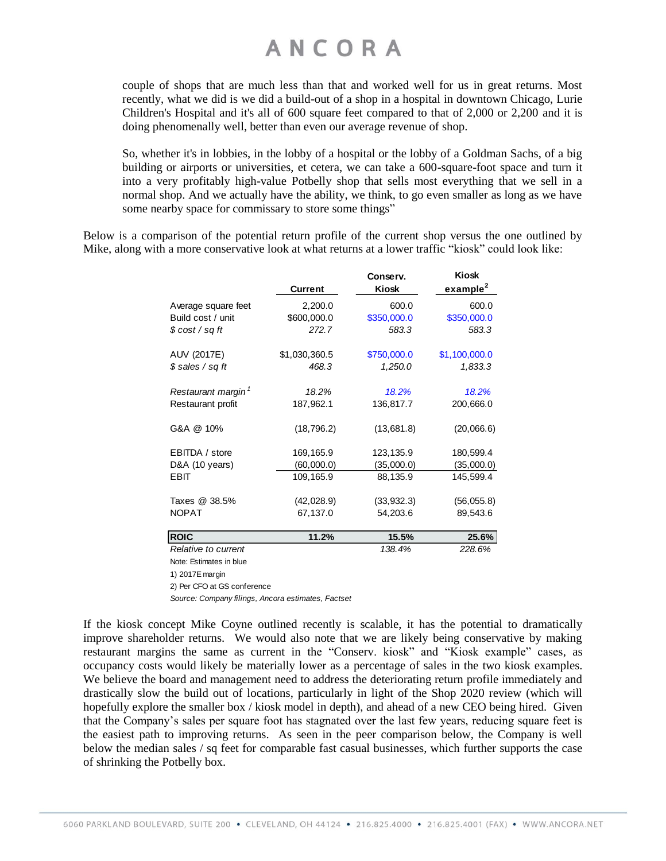couple of shops that are much less than that and worked well for us in great returns. Most recently, what we did is we did a build-out of a shop in a hospital in downtown Chicago, Lurie Children's Hospital and it's all of 600 square feet compared to that of 2,000 or 2,200 and it is doing phenomenally well, better than even our average revenue of shop.

So, whether it's in lobbies, in the lobby of a hospital or the lobby of a Goldman Sachs, of a big building or airports or universities, et cetera, we can take a 600-square-foot space and turn it into a very profitably high-value Potbelly shop that sells most everything that we sell in a normal shop. And we actually have the ability, we think, to go even smaller as long as we have some nearby space for commissary to store some things"

Below is a comparison of the potential return profile of the current shop versus the one outlined by Mike, along with a more conservative look at what returns at a lower traffic "kiosk" could look like:

|                                | <b>Current</b> | Conserv.<br>Kiosk | Kiosk<br>example <sup>2</sup> |
|--------------------------------|----------------|-------------------|-------------------------------|
| Average square feet            | 2,200.0        | 600.0             | 600.0                         |
| Build cost / unit              | \$600,000.0    | \$350,000.0       | \$350,000.0                   |
| \$ cost / sq ft                | 272.7          | 583.3             | 583.3                         |
| AUV (2017E)                    | \$1,030,360.5  | \$750,000.0       | \$1,100,000.0                 |
| \$ sales / sq ft               | 468.3          | 1,250.0           | 1,833.3                       |
| Restaurant margin <sup>1</sup> | 18.2%          | 18.2%             | 18.2%                         |
| Restaurant profit              | 187,962.1      | 136,817.7         | 200,666.0                     |
| G&A @ 10%                      | (18, 796.2)    | (13,681.8)        | (20,066.6)                    |
| EBITDA / store                 | 169,165.9      | 123,135.9         | 180,599.4                     |
| D&A (10 years)                 | (60,000.0)     | (35,000.0)        | (35,000.0)                    |
| <b>EBIT</b>                    | 109,165.9      | 88,135.9          | 145,599.4                     |
| Taxes @ 38.5%                  | (42,028.9)     | (33, 932.3)       | (56,055.8)                    |
| <b>NOPAT</b>                   | 67,137.0       | 54,203.6          | 89,543.6                      |
| <b>ROIC</b>                    | 11.2%          | 15.5%             | 25.6%                         |
| Relative to current            |                | 138.4%            | 228.6%                        |
| Note: Estimates in blue        |                |                   |                               |

1) 2017E margin

2) Per CFO at GS conference

*Source: Company filings, Ancora estimates, Factset*

If the kiosk concept Mike Coyne outlined recently is scalable, it has the potential to dramatically improve shareholder returns. We would also note that we are likely being conservative by making restaurant margins the same as current in the "Conserv. kiosk" and "Kiosk example" cases, as occupancy costs would likely be materially lower as a percentage of sales in the two kiosk examples. We believe the board and management need to address the deteriorating return profile immediately and drastically slow the build out of locations, particularly in light of the Shop 2020 review (which will hopefully explore the smaller box / kiosk model in depth), and ahead of a new CEO being hired. Given that the Company's sales per square foot has stagnated over the last few years, reducing square feet is the easiest path to improving returns. As seen in the peer comparison below, the Company is well below the median sales / sq feet for comparable fast casual businesses, which further supports the case of shrinking the Potbelly box.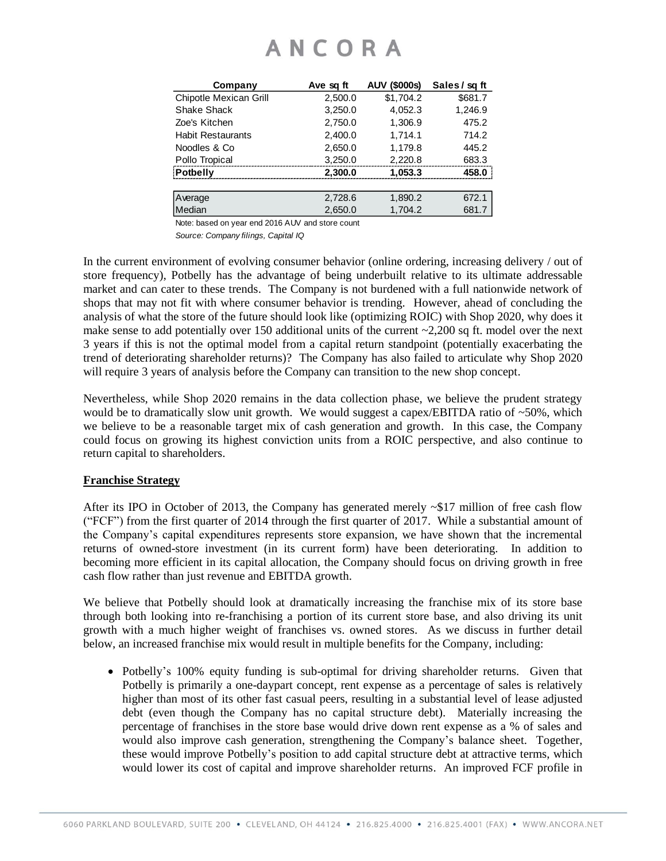| Company                       | Ave sq ft | <b>AUV (\$000s)</b> | Sales / sq ft |
|-------------------------------|-----------|---------------------|---------------|
| <b>Chipotle Mexican Grill</b> | 2,500.0   | \$1,704.2           | \$681.7       |
| Shake Shack                   | 3,250.0   | 4,052.3             | 1,246.9       |
| Zoe's Kitchen                 | 2,750.0   | 1,306.9             | 475.2         |
| <b>Habit Restaurants</b>      | 2,400.0   | 1.714.1             | 714.2         |
| Noodles & Co                  | 2,650.0   | 1.179.8             | 445.2         |
| Pollo Tropical                | 3,250.0   | 2,220.8             | 683.3         |
| <b>Potbelly</b>               | 2,300.0   | 1,053.3             | 458.0         |
|                               |           |                     |               |
| Average                       | 2,728.6   | 1,890.2             | 672.1         |
| Median                        | 2,650.0   | 1,704.2             | 681.7         |
|                               |           |                     |               |

Note: based on year end 2016 AUV and store count

*Source: Company filings, Capital IQ*

In the current environment of evolving consumer behavior (online ordering, increasing delivery / out of store frequency), Potbelly has the advantage of being underbuilt relative to its ultimate addressable market and can cater to these trends. The Company is not burdened with a full nationwide network of shops that may not fit with where consumer behavior is trending. However, ahead of concluding the analysis of what the store of the future should look like (optimizing ROIC) with Shop 2020, why does it make sense to add potentially over 150 additional units of the current  $\sim$ 2,200 sq ft. model over the next 3 years if this is not the optimal model from a capital return standpoint (potentially exacerbating the trend of deteriorating shareholder returns)? The Company has also failed to articulate why Shop 2020 will require 3 years of analysis before the Company can transition to the new shop concept.

Nevertheless, while Shop 2020 remains in the data collection phase, we believe the prudent strategy would be to dramatically slow unit growth. We would suggest a capex/EBITDA ratio of ~50%, which we believe to be a reasonable target mix of cash generation and growth. In this case, the Company could focus on growing its highest conviction units from a ROIC perspective, and also continue to return capital to shareholders.

#### **Franchise Strategy**

After its IPO in October of 2013, the Company has generated merely  $\sim $17$  million of free cash flow ("FCF") from the first quarter of 2014 through the first quarter of 2017. While a substantial amount of the Company's capital expenditures represents store expansion, we have shown that the incremental returns of owned-store investment (in its current form) have been deteriorating. In addition to becoming more efficient in its capital allocation, the Company should focus on driving growth in free cash flow rather than just revenue and EBITDA growth.

We believe that Potbelly should look at dramatically increasing the franchise mix of its store base through both looking into re-franchising a portion of its current store base, and also driving its unit growth with a much higher weight of franchises vs. owned stores. As we discuss in further detail below, an increased franchise mix would result in multiple benefits for the Company, including:

• Potbelly's 100% equity funding is sub-optimal for driving shareholder returns. Given that Potbelly is primarily a one-daypart concept, rent expense as a percentage of sales is relatively higher than most of its other fast casual peers, resulting in a substantial level of lease adjusted debt (even though the Company has no capital structure debt). Materially increasing the percentage of franchises in the store base would drive down rent expense as a % of sales and would also improve cash generation, strengthening the Company's balance sheet. Together, these would improve Potbelly's position to add capital structure debt at attractive terms, which would lower its cost of capital and improve shareholder returns. An improved FCF profile in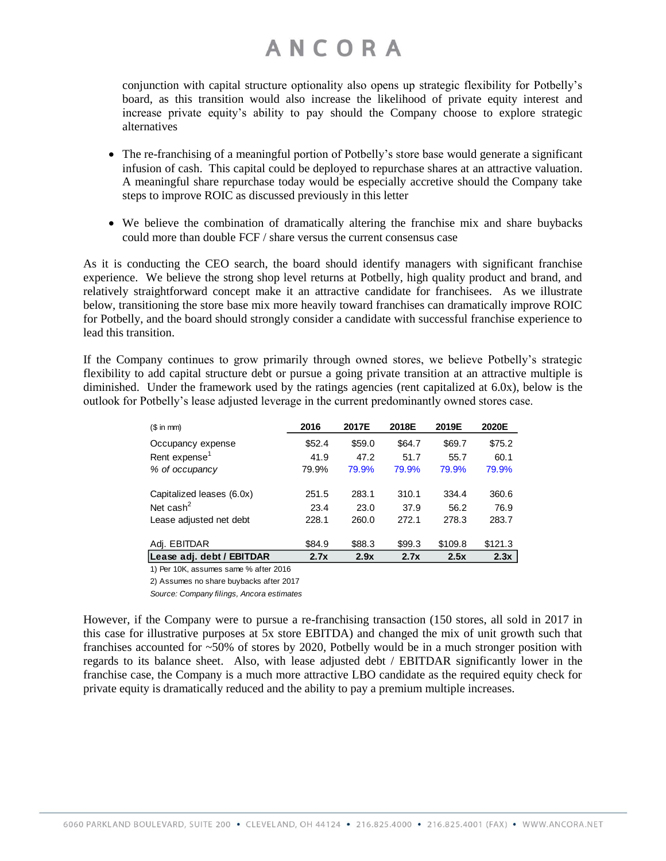conjunction with capital structure optionality also opens up strategic flexibility for Potbelly's board, as this transition would also increase the likelihood of private equity interest and increase private equity's ability to pay should the Company choose to explore strategic alternatives

- The re-franchising of a meaningful portion of Potbelly's store base would generate a significant infusion of cash. This capital could be deployed to repurchase shares at an attractive valuation. A meaningful share repurchase today would be especially accretive should the Company take steps to improve ROIC as discussed previously in this letter
- We believe the combination of dramatically altering the franchise mix and share buybacks could more than double FCF / share versus the current consensus case

As it is conducting the CEO search, the board should identify managers with significant franchise experience. We believe the strong shop level returns at Potbelly, high quality product and brand, and relatively straightforward concept make it an attractive candidate for franchisees. As we illustrate below, transitioning the store base mix more heavily toward franchises can dramatically improve ROIC for Potbelly, and the board should strongly consider a candidate with successful franchise experience to lead this transition.

If the Company continues to grow primarily through owned stores, we believe Potbelly's strategic flexibility to add capital structure debt or pursue a going private transition at an attractive multiple is diminished. Under the framework used by the ratings agencies (rent capitalized at 6.0x), below is the outlook for Potbelly's lease adjusted leverage in the current predominantly owned stores case.

| $$$ in mm)                                                                                                                                                                                                                                                                                                                                                  | 2016   | 2017E  | 2018E  | 2019E   | 2020E   |
|-------------------------------------------------------------------------------------------------------------------------------------------------------------------------------------------------------------------------------------------------------------------------------------------------------------------------------------------------------------|--------|--------|--------|---------|---------|
| Occupancy expense                                                                                                                                                                                                                                                                                                                                           | \$52.4 | \$59.0 | \$64.7 | \$69.7  | \$75.2  |
| Rent expense <sup>1</sup>                                                                                                                                                                                                                                                                                                                                   | 41.9   | 47.2   | 51.7   | 55.7    | 60.1    |
| % of occupancy                                                                                                                                                                                                                                                                                                                                              | 79.9%  | 79.9%  | 79.9%  | 79.9%   | 79.9%   |
| Capitalized leases (6.0x)                                                                                                                                                                                                                                                                                                                                   | 251.5  | 283.1  | 310.1  | 334.4   | 360.6   |
| Net cash <sup>2</sup>                                                                                                                                                                                                                                                                                                                                       | 23.4   | 23.0   | 37.9   | 56.2    | 76.9    |
| Lease adjusted net debt                                                                                                                                                                                                                                                                                                                                     | 228.1  | 260.0  | 272.1  | 278.3   | 283.7   |
| Adj. EBITDAR                                                                                                                                                                                                                                                                                                                                                | \$84.9 | \$88.3 | \$99.3 | \$109.8 | \$121.3 |
| Lease adj. debt / EBITDAR                                                                                                                                                                                                                                                                                                                                   | 2.7x   | 2.9x   | 2.7x   | 2.5x    | 2.3x    |
| $\mathcal{L}$ $\mathcal{L}$ $\mathcal{L}$ $\mathcal{L}$ $\mathcal{L}$ $\mathcal{L}$ $\mathcal{L}$ $\mathcal{L}$ $\mathcal{L}$ $\mathcal{L}$ $\mathcal{L}$ $\mathcal{L}$ $\mathcal{L}$ $\mathcal{L}$ $\mathcal{L}$ $\mathcal{L}$ $\mathcal{L}$ $\mathcal{L}$ $\mathcal{L}$ $\mathcal{L}$ $\mathcal{L}$ $\mathcal{L}$ $\mathcal{L}$ $\mathcal{L}$ $\mathcal{$ |        |        |        |         |         |

1) Per 10K, assumes same % after 2016

2) Assumes no share buybacks after 2017 *Source: Company filings, Ancora estimates*

However, if the Company were to pursue a re-franchising transaction (150 stores, all sold in 2017 in this case for illustrative purposes at 5x store EBITDA) and changed the mix of unit growth such that franchises accounted for ~50% of stores by 2020, Potbelly would be in a much stronger position with regards to its balance sheet. Also, with lease adjusted debt / EBITDAR significantly lower in the franchise case, the Company is a much more attractive LBO candidate as the required equity check for private equity is dramatically reduced and the ability to pay a premium multiple increases.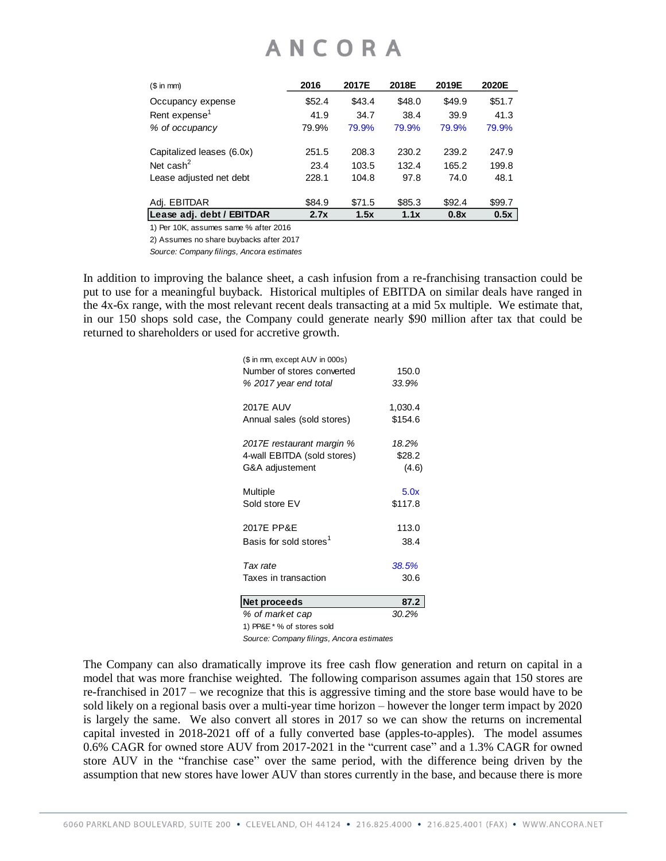| (\$ in mm)                | 2016   | 2017E  | 2018E  | 2019E  | 2020E  |
|---------------------------|--------|--------|--------|--------|--------|
| Occupancy expense         | \$52.4 | \$43.4 | \$48.0 | \$49.9 | \$51.7 |
| Rent expense <sup>1</sup> | 41.9   | 34.7   | 38.4   | 39.9   | 41.3   |
| % of occupancy            | 79.9%  | 79.9%  | 79.9%  | 79.9%  | 79.9%  |
| Capitalized leases (6.0x) | 251.5  | 208.3  | 230.2  | 239.2  | 247.9  |
| Net cash $^2$             | 23.4   | 103.5  | 132.4  | 165.2  | 199.8  |
| Lease adjusted net debt   | 228.1  | 104.8  | 97.8   | 74.0   | 48.1   |
| Adj. EBITDAR              | \$84.9 | \$71.5 | \$85.3 | \$92.4 | \$99.7 |
| Lease adj. debt / EBITDAR | 2.7x   | 1.5x   | 1.1x   | 0.8x   | 0.5x   |

1) Per 10K, assumes same % after 2016

2) Assumes no share buybacks after 2017

*Source: Company filings, Ancora estimates*

In addition to improving the balance sheet, a cash infusion from a re-franchising transaction could be put to use for a meaningful buyback. Historical multiples of EBITDA on similar deals have ranged in the 4x-6x range, with the most relevant recent deals transacting at a mid 5x multiple. We estimate that, in our 150 shops sold case, the Company could generate nearly \$90 million after tax that could be returned to shareholders or used for accretive growth.

| (\$ in mm, except AUV in 000s)<br>Number of stores converted<br>% 2017 year end total | 150.0<br>33.9% |
|---------------------------------------------------------------------------------------|----------------|
| <b>2017E AUV</b>                                                                      | 1,030.4        |
| Annual sales (sold stores)                                                            | \$154.6        |
| 2017E restaurant margin %                                                             | 18.2%          |
| 4-wall EBITDA (sold stores)                                                           | \$28.2         |
| G&A adjustement                                                                       | (4.6)          |
| Multiple                                                                              | 5.0x           |
| Sold store EV                                                                         | \$117.8        |
| 2017E PP&E                                                                            | 113.0          |
| Basis for sold stores <sup>1</sup>                                                    | 38.4           |
| Tax rate                                                                              | 38.5%          |
| Taxes in transaction                                                                  | 30.6           |
| Net proceeds                                                                          | 87.2           |
| % of market cap                                                                       | 30.2%          |
|                                                                                       |                |

1) PP&E \* % of stores sold

*Source: Company filings, Ancora estimates*

The Company can also dramatically improve its free cash flow generation and return on capital in a model that was more franchise weighted. The following comparison assumes again that 150 stores are re-franchised in 2017 – we recognize that this is aggressive timing and the store base would have to be sold likely on a regional basis over a multi-year time horizon – however the longer term impact by 2020 is largely the same. We also convert all stores in 2017 so we can show the returns on incremental capital invested in 2018-2021 off of a fully converted base (apples-to-apples). The model assumes 0.6% CAGR for owned store AUV from 2017-2021 in the "current case" and a 1.3% CAGR for owned store AUV in the "franchise case" over the same period, with the difference being driven by the assumption that new stores have lower AUV than stores currently in the base, and because there is more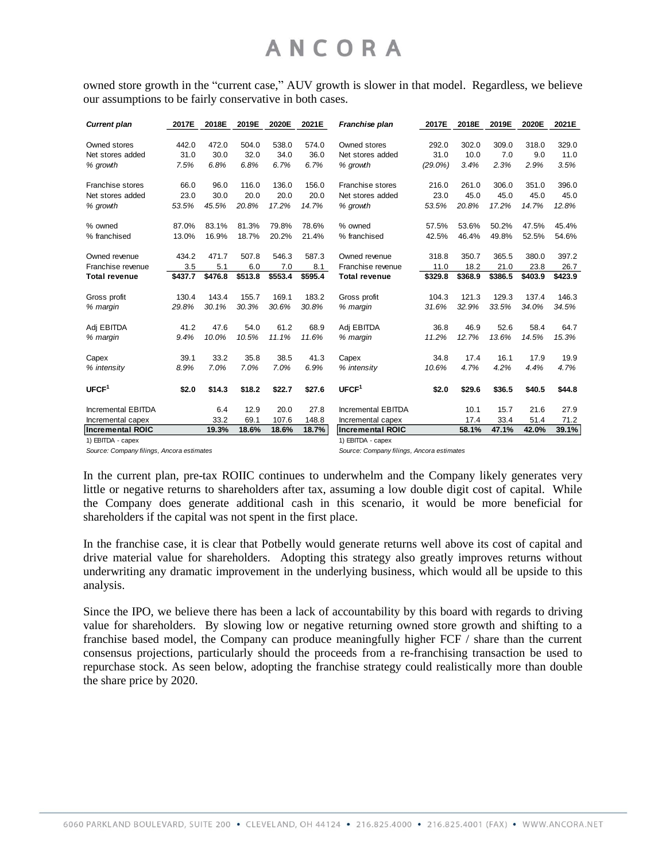owned store growth in the "current case," AUV growth is slower in that model. Regardless, we believe our assumptions to be fairly conservative in both cases.

| <b>Current plan</b>     | 2017E   | 2018E   | 2019E   | 2020E   | 2021E   | Franchise plan          | 2017E      | 2018E   | 2019E   | 2020E   | 2021E   |
|-------------------------|---------|---------|---------|---------|---------|-------------------------|------------|---------|---------|---------|---------|
| Owned stores            | 442.0   | 472.0   | 504.0   | 538.0   | 574.0   | Owned stores            | 292.0      | 302.0   | 309.0   | 318.0   | 329.0   |
| Net stores added        | 31.0    | 30.0    | 32.0    | 34.0    | 36.0    | Net stores added        | 31.0       | 10.0    | 7.0     | 9.0     | 11.0    |
| % growth                | 7.5%    | 6.8%    | 6.8%    | 6.7%    | 6.7%    | % growth                | $(29.0\%)$ | 3.4%    | 2.3%    | 2.9%    | 3.5%    |
| <b>Franchise stores</b> | 66.0    | 96.0    | 116.0   | 136.0   | 156.0   | <b>Franchise stores</b> | 216.0      | 261.0   | 306.0   | 351.0   | 396.0   |
| Net stores added        | 23.0    | 30.0    | 20.0    | 20.0    | 20.0    | Net stores added        | 23.0       | 45.0    | 45.0    | 45.0    | 45.0    |
| % growth                | 53.5%   | 45.5%   | 20.8%   | 17.2%   | 14.7%   | % growth                | 53.5%      | 20.8%   | 17.2%   | 14.7%   | 12.8%   |
| % owned                 | 87.0%   | 83.1%   | 81.3%   | 79.8%   | 78.6%   | % owned                 | 57.5%      | 53.6%   | 50.2%   | 47.5%   | 45.4%   |
| % franchised            | 13.0%   | 16.9%   | 18.7%   | 20.2%   | 21.4%   | % franchised            | 42.5%      | 46.4%   | 49.8%   | 52.5%   | 54.6%   |
| Owned revenue           | 434.2   | 471.7   | 507.8   | 546.3   | 587.3   | Owned revenue           | 318.8      | 350.7   | 365.5   | 380.0   | 397.2   |
| Franchise revenue       | 3.5     | 5.1     | 6.0     | 7.0     | 8.1     | Franchise revenue       | 11.0       | 18.2    | 21.0    | 23.8    | 26.7    |
| <b>Total revenue</b>    | \$437.7 | \$476.8 | \$513.8 | \$553.4 | \$595.4 | <b>Total revenue</b>    | \$329.8    | \$368.9 | \$386.5 | \$403.9 | \$423.9 |
| Gross profit            | 130.4   | 143.4   | 155.7   | 169.1   | 183.2   | Gross profit            | 104.3      | 121.3   | 129.3   | 137.4   | 146.3   |
| % margin                | 29.8%   | 30.1%   | 30.3%   | 30.6%   | 30.8%   | % margin                | 31.6%      | 32.9%   | 33.5%   | 34.0%   | 34.5%   |
| Adj EBITDA              | 41.2    | 47.6    | 54.0    | 61.2    | 68.9    | Adj EBITDA              | 36.8       | 46.9    | 52.6    | 58.4    | 64.7    |
| % margin                | 9.4%    | 10.0%   | 10.5%   | 11.1%   | 11.6%   | % margin                | 11.2%      | 12.7%   | 13.6%   | 14.5%   | 15.3%   |
| Capex                   | 39.1    | 33.2    | 35.8    | 38.5    | 41.3    | Capex                   | 34.8       | 17.4    | 16.1    | 17.9    | 19.9    |
| % intensity             | 8.9%    | 7.0%    | 7.0%    | 7.0%    | 6.9%    | % intensity             | 10.6%      | 4.7%    | 4.2%    | 4.4%    | 4.7%    |
| UFCF <sup>1</sup>       | \$2.0   | \$14.3  | \$18.2  | \$22.7  | \$27.6  | UFCF <sup>1</sup>       | \$2.0      | \$29.6  | \$36.5  | \$40.5  | \$44.8  |
| Incremental EBITDA      |         | 6.4     | 12.9    | 20.0    | 27.8    | Incremental EBITDA      |            | 10.1    | 15.7    | 21.6    | 27.9    |
| Incremental capex       |         | 33.2    | 69.1    | 107.6   | 148.8   | Incremental capex       |            | 17.4    | 33.4    | 51.4    | 71.2    |
| <b>Incremental ROIC</b> |         | 19.3%   | 18.6%   | 18.6%   | 18.7%   | <b>Incremental ROIC</b> |            | 58.1%   | 47.1%   | 42.0%   | 39.1%   |
| 1) EBITDA - capex       |         |         |         |         |         | 1) EBITDA - capex       |            |         |         |         |         |

*Source: Company filings, Ancora estimates*

*Source: Company filings, Ancora estimates*

In the current plan, pre-tax ROIIC continues to underwhelm and the Company likely generates very little or negative returns to shareholders after tax, assuming a low double digit cost of capital. While the Company does generate additional cash in this scenario, it would be more beneficial for shareholders if the capital was not spent in the first place.

In the franchise case, it is clear that Potbelly would generate returns well above its cost of capital and drive material value for shareholders. Adopting this strategy also greatly improves returns without underwriting any dramatic improvement in the underlying business, which would all be upside to this analysis.

Since the IPO, we believe there has been a lack of accountability by this board with regards to driving value for shareholders. By slowing low or negative returning owned store growth and shifting to a franchise based model, the Company can produce meaningfully higher FCF / share than the current consensus projections, particularly should the proceeds from a re-franchising transaction be used to repurchase stock. As seen below, adopting the franchise strategy could realistically more than double the share price by 2020.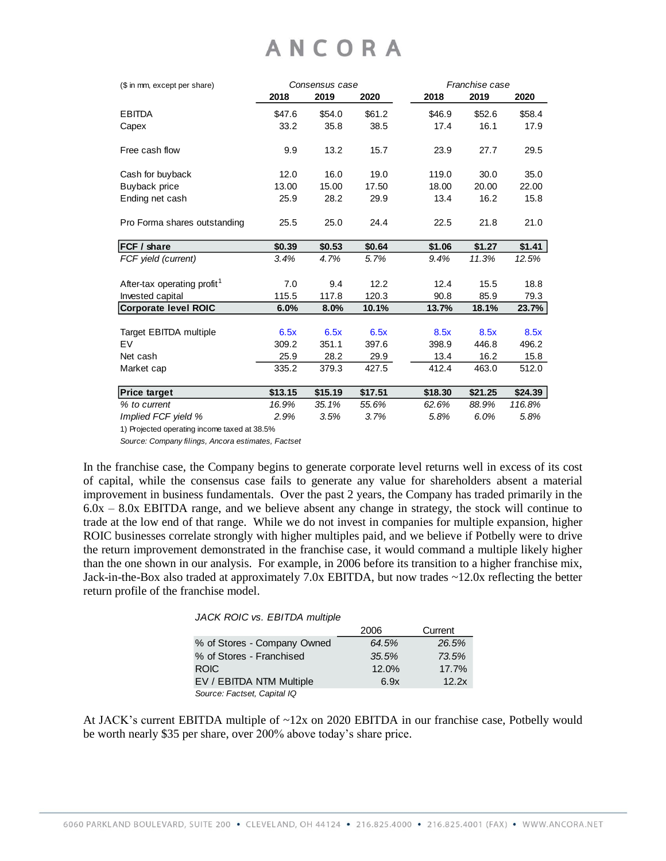| (\$ in mm, except per share)                 |         | Consensus case |         | Franchise case |         |         |  |
|----------------------------------------------|---------|----------------|---------|----------------|---------|---------|--|
|                                              | 2018    | 2019           | 2020    | 2018           | 2019    | 2020    |  |
| <b>EBITDA</b>                                | \$47.6  | \$54.0         | \$61.2  | \$46.9         | \$52.6  | \$58.4  |  |
| Capex                                        | 33.2    | 35.8           | 38.5    | 17.4           | 16.1    | 17.9    |  |
| Free cash flow                               | 9.9     | 13.2           | 15.7    | 23.9           | 27.7    | 29.5    |  |
| Cash for buyback                             | 12.0    | 16.0           | 19.0    | 119.0          | 30.0    | 35.0    |  |
| Buyback price                                | 13.00   | 15.00          | 17.50   | 18.00          | 20.00   | 22.00   |  |
| Ending net cash                              | 25.9    | 28.2           | 29.9    | 13.4           | 16.2    | 15.8    |  |
| Pro Forma shares outstanding                 | 25.5    | 25.0           | 24.4    | 22.5           | 21.8    | 21.0    |  |
| <b>FCF / share</b>                           | \$0.39  | \$0.53         | \$0.64  | \$1.06         | \$1.27  | \$1.41  |  |
| FCF yield (current)                          | 3.4%    | 4.7%           | 5.7%    | 9.4%           | 11.3%   | 12.5%   |  |
| After-tax operating profit <sup>1</sup>      | 7.0     | 9.4            | 12.2    | 12.4           | 15.5    | 18.8    |  |
| Invested capital                             | 115.5   | 117.8          | 120.3   | 90.8           | 85.9    | 79.3    |  |
| <b>Corporate level ROIC</b>                  | 6.0%    | 8.0%           | 10.1%   | 13.7%          | 18.1%   | 23.7%   |  |
| <b>Target EBITDA multiple</b>                | 6.5x    | 6.5x           | 6.5x    | 8.5x           | 8.5x    | 8.5x    |  |
| EV                                           | 309.2   | 351.1          | 397.6   | 398.9          | 446.8   | 496.2   |  |
| Net cash                                     | 25.9    | 28.2           | 29.9    | 13.4           | 16.2    | 15.8    |  |
| Market cap                                   | 335.2   | 379.3          | 427.5   | 412.4          | 463.0   | 512.0   |  |
| <b>Price target</b>                          | \$13.15 | \$15.19        | \$17.51 | \$18.30        | \$21.25 | \$24.39 |  |
| % to current                                 | 16.9%   | 35.1%          | 55.6%   | 62.6%          | 88.9%   | 116.8%  |  |
| Implied FCF yield %                          | 2.9%    | 3.5%           | 3.7%    | 5.8%           | 6.0%    | 5.8%    |  |
| 1) Projected operating income taxed at 38.5% |         |                |         |                |         |         |  |

*Source: Company filings, Ancora estimates, Factset*

In the franchise case, the Company begins to generate corporate level returns well in excess of its cost of capital, while the consensus case fails to generate any value for shareholders absent a material improvement in business fundamentals. Over the past 2 years, the Company has traded primarily in the  $6.0x - 8.0x$  EBITDA range, and we believe absent any change in strategy, the stock will continue to trade at the low end of that range. While we do not invest in companies for multiple expansion, higher ROIC businesses correlate strongly with higher multiples paid, and we believe if Potbelly were to drive the return improvement demonstrated in the franchise case, it would command a multiple likely higher than the one shown in our analysis. For example, in 2006 before its transition to a higher franchise mix, Jack-in-the-Box also traded at approximately 7.0x EBITDA, but now trades ~12.0x reflecting the better return profile of the franchise model.

#### *JACK ROIC vs. EBITDA multiple*

|                             | 2006  | Current |
|-----------------------------|-------|---------|
| % of Stores - Company Owned | 64.5% | 26.5%   |
| % of Stores - Franchised    | 35.5% | 73.5%   |
| <b>ROIC</b>                 | 12.0% | 17.7%   |
| EV / EBITDA NTM Multiple    | 6.9x  | 12.2x   |
| Source: Factset, Capital IQ |       |         |

At JACK's current EBITDA multiple of ~12x on 2020 EBITDA in our franchise case, Potbelly would be worth nearly \$35 per share, over 200% above today's share price.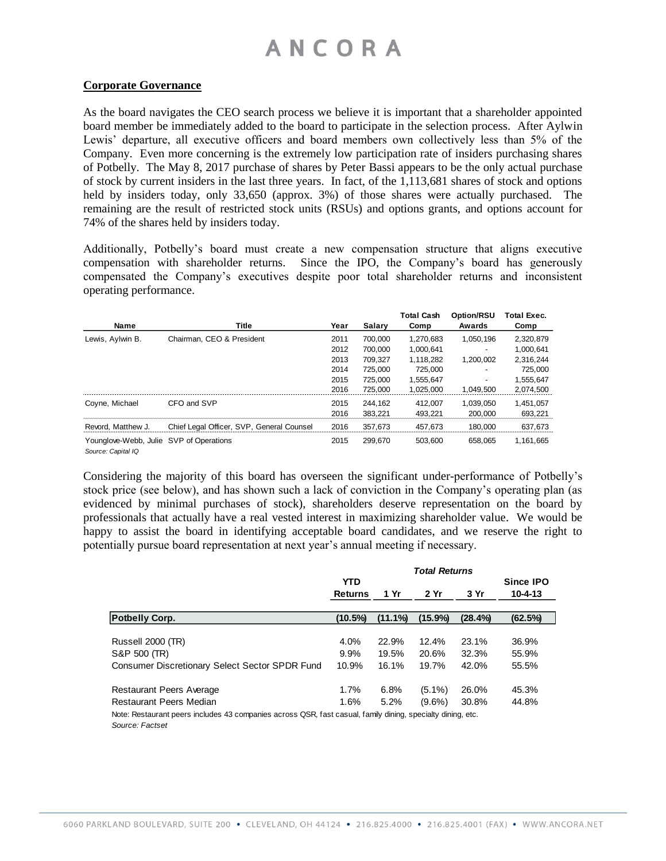#### **Corporate Governance**

As the board navigates the CEO search process we believe it is important that a shareholder appointed board member be immediately added to the board to participate in the selection process. After Aylwin Lewis' departure, all executive officers and board members own collectively less than 5% of the Company. Even more concerning is the extremely low participation rate of insiders purchasing shares of Potbelly. The May 8, 2017 purchase of shares by Peter Bassi appears to be the only actual purchase of stock by current insiders in the last three years. In fact, of the 1,113,681 shares of stock and options held by insiders today, only 33,650 (approx. 3%) of those shares were actually purchased. The remaining are the result of restricted stock units (RSUs) and options grants, and options account for 74% of the shares held by insiders today.

Additionally, Potbelly's board must create a new compensation structure that aligns executive compensation with shareholder returns. Since the IPO, the Company's board has generously compensated the Company's executives despite poor total shareholder returns and inconsistent operating performance.

|                                         |                                           |      |               | <b>Total Cash</b> | Option/RSU | <b>Total Exec.</b> |
|-----------------------------------------|-------------------------------------------|------|---------------|-------------------|------------|--------------------|
| Name                                    | Title                                     | Year | <b>Salary</b> | Comp              | Awards     | Comp               |
| Lewis, Aylwin B.                        | Chairman, CEO & President                 | 2011 | 700.000       | 1.270.683         | 1.050.196  | 2,320,879          |
|                                         |                                           | 2012 | 700.000       | 1.000.641         |            | 1.000.641          |
|                                         |                                           | 2013 | 709.327       | 1.118.282         | 1,200,002  | 2,316,244          |
|                                         |                                           | 2014 | 725.000       | 725.000           |            | 725,000            |
|                                         |                                           | 2015 | 725.000       | 1,555,647         |            | 1,555,647          |
|                                         |                                           | 2016 | 725.000       | 1,025,000         | 1,049,500  | 2,074,500          |
| Coyne, Michael                          | CFO and SVP                               | 2015 | 244.162       | 412.007           | 1.039.050  | 1.451.057          |
|                                         |                                           | 2016 | 383.221       | 493.221           | 200,000    | 693,221            |
| Revord, Matthew J.                      | Chief Legal Officer, SVP, General Counsel | 2016 | 357.673       | 457.673           | 180.000    | 637,673            |
| Younglove-Webb, Julie SVP of Operations |                                           | 2015 | 299.670       | 503.600           | 658.065    | 1.161.665          |

*Source: Capital IQ*

Considering the majority of this board has overseen the significant under-performance of Potbelly's stock price (see below), and has shown such a lack of conviction in the Company's operating plan (as evidenced by minimal purchases of stock), shareholders deserve representation on the board by professionals that actually have a real vested interest in maximizing shareholder value. We would be happy to assist the board in identifying acceptable board candidates, and we reserve the right to potentially pursue board representation at next year's annual meeting if necessary.

|                                                                                                             | <b>Total Returns</b> |         |            |            |                  |  |
|-------------------------------------------------------------------------------------------------------------|----------------------|---------|------------|------------|------------------|--|
|                                                                                                             | <b>YTD</b>           |         |            |            | <b>Since IPO</b> |  |
|                                                                                                             | <b>Returns</b>       | 1 Yr    | 2 Yr       | 3 Yr       | $10 - 4 - 13$    |  |
|                                                                                                             |                      |         |            |            |                  |  |
| <b>Potbelly Corp.</b>                                                                                       | $(10.5\%)$           | (11.1%) | $(15.9\%)$ | $(28.4\%)$ | (62.5%)          |  |
|                                                                                                             |                      |         |            |            |                  |  |
| Russell 2000 (TR)                                                                                           | 4.0%                 | 22.9%   | 12.4%      | 23.1%      | 36.9%            |  |
| S&P 500 (TR)                                                                                                | 9.9%                 | 19.5%   | 20.6%      | 32.3%      | 55.9%            |  |
| Consumer Discretionary Select Sector SPDR Fund                                                              | 10.9%                | 16.1%   | 19.7%      | 42.0%      | 55.5%            |  |
| <b>Restaurant Peers Average</b>                                                                             | 1.7%                 | 6.8%    | $(5.1\%)$  | 26.0%      | 45.3%            |  |
| Restaurant Peers Median                                                                                     | 1.6%                 | 5.2%    | $(9.6\%)$  | 30.8%      | 44.8%            |  |
| Note: Restaurant peers includes 43 companies across QSR, fast casual, family dining, specialty dining, etc. |                      |         |            |            |                  |  |